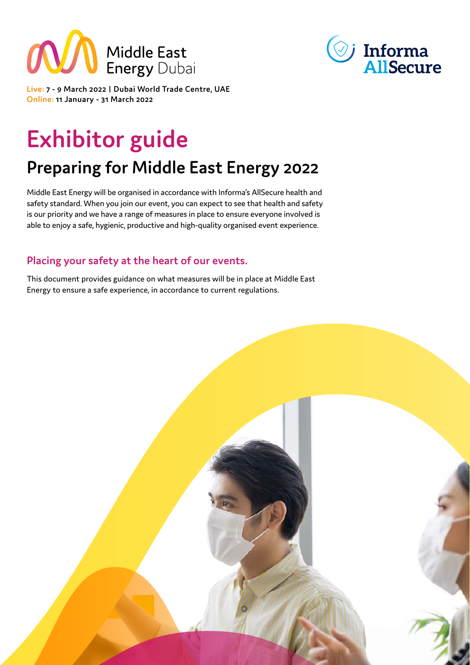



Live: 7 - 9 March 2022 | Dubai World Trade Centre, UAE **2022 Continue: 11 January - 31 March 2022** 

# **Exhibitor guide**

## **Preparing for Middle East Energy 2022**

Middle East Energy will be organised in accordance with Informa's AllSecure health and safety standard. When you join our event, you can expect to see that health and safety is our priority and we have a range of measures in place to ensure everyone involved is able to enjoy a safe, hygienic, productive and high-quality organised event experience.

## Placing your safety at the heart of our events.

This document provides guidance on what measures will be in place at Middle East Energy to ensure a safe experience, in accordance to current regulations.

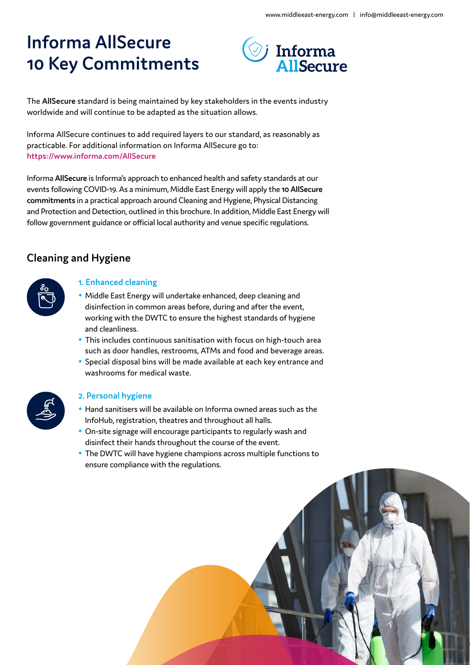## **Informa AllSecure 10 Key Commitments**



The AllSecure standard is being maintained by key stakeholders in the events industry worldwide and will continue to be adapted as the situation allows.

Informa AllSecure continues to add required layers to our standard, as reasonably as practicable. For additional information on Informa AllSecure go to: https://www.informa.com/AllSecure

Informa AllSecure is Informa's approach to enhanced health and safety standards at our events following COVID-19. As a minimum, Middle East Energy will apply the 10 AllSecure commitments in a practical approach around Cleaning and Hygiene, Physical Distancing and Protection and Detection, outlined in this brochure. In addition, Middle East Energy will follow government guidance or official local authority and venue specific regulations.

## **Cleaning and Hygiene**



## **1. Enhanced cleaning**

- Middle East Energy will undertake enhanced, deep cleaning and disinfection in common areas before, during and after the event, working with the DWTC to ensure the highest standards of hygiene and cleanliness.
- This includes continuous sanitisation with focus on high-touch area such as door handles, restrooms, ATMs and food and beverage areas.
- Special disposal bins will be made available at each key entrance and washrooms for medical waste.

## **2. Personal hygiene**

- Hand sanitisers will be available on Informa owned areas such as the InfoHub, registration, theatres and throughout all halls.
- On-site signage will encourage participants to regularly wash and disinfect their hands throughout the course of the event.
- The DWTC will have hygiene champions across multiple functions to ensure compliance with the regulations.

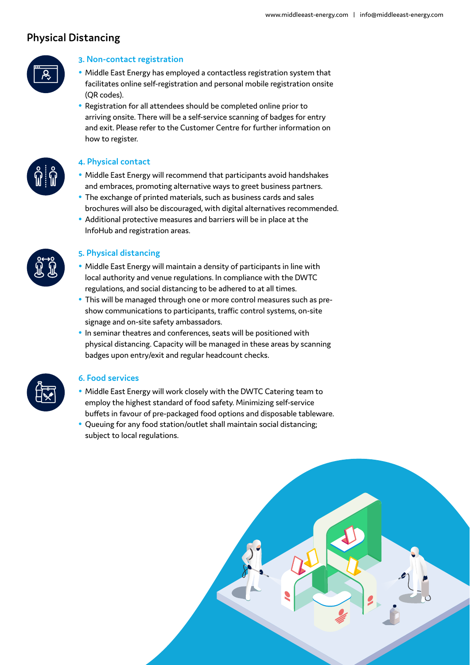## **Physical Distancing**



## **3. Non-contact registration**

- Middle East Energy has employed a contactless registration system that facilitates online self-registration and personal mobile registration onsite (QR codes).
- Registration for all attendees should be completed online prior to arriving onsite. There will be a self-service scanning of badges for entry and exit. Please refer to the Customer Centre for further information on how to register.

### **contact Physical 4.**

- Middle East Energy will recommend that participants avoid handshakes and embraces, promoting alternative ways to greet business partners.
- The exchange of printed materials, such as business cards and sales brochures will also be discouraged, with digital alternatives recommended.
- Additional protective measures and barriers will be in place at the InfoHub and registration areas.



#### **5. Physical distancing**

- Middle East Energy will maintain a density of participants in line with local authority and venue regulations. In compliance with the DWTC regulations, and social distancing to be adhered to at all times.
- This will be managed through one or more control measures such as presion whow communications to participants, traffic control systems, on-site signage and on-site safety ambassadors.
- In seminar theatres and conferences, seats will be positioned with physical distancing. Capacity will be managed in these areas by scanning badges upon entry/exit and regular headcount checks.

#### **6. Food services**

- Middle East Energy will work closely with the DWTC Catering team to employ the highest standard of food safety. Minimizing self-service buffets in favour of pre-packaged food options and disposable tableware.
- Queuing for any food station/outlet shall maintain social distancing; subject to local regulations.

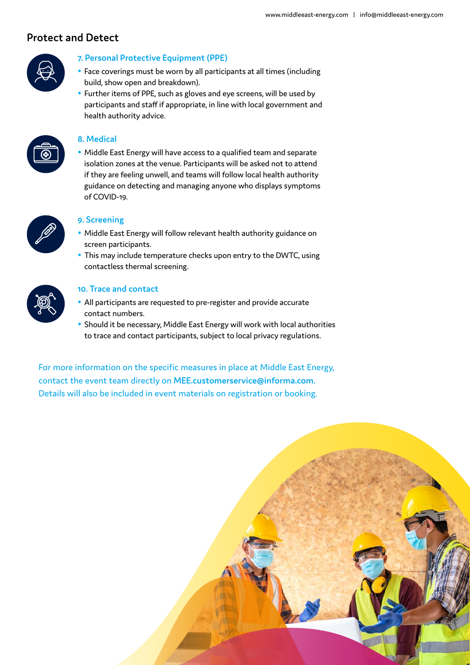## **Detect and Protect**



## **7. Personal Protective Equipment (PPE)**

- Face coverings must be worn by all participants at all times (including build, show open and breakdown).
- Further items of PPE, such as gloves and eye screens, will be used by participants and staff if appropriate, in line with local government and health authority advice.



### **Medical 8.**

• Middle East Energy will have access to a qualified team and separate isolation zones at the venue. Participants will be asked not to attend if they are feeling unwell, and teams will follow local health authority guidance on detecting and managing anyone who displays symptoms of COVID-19.



## **9. Screening**

- Middle East Energy will follow relevant health authority guidance on screen participants.
- This may include temperature checks upon entry to the DWTC, using contactless thermal screening.



### **10. Trace and contact**

- All participants are requested to pre-register and provide accurate contact numbers.
- Should it be necessary, Middle East Energy will work with local authorities to trace and contact participants, subject to local privacy regulations.

For more information on the specific measures in place at Middle East Energy, contact the event team directly on MEE.customerservice@informa.com. Details will also be included in event materials on registration or booking.

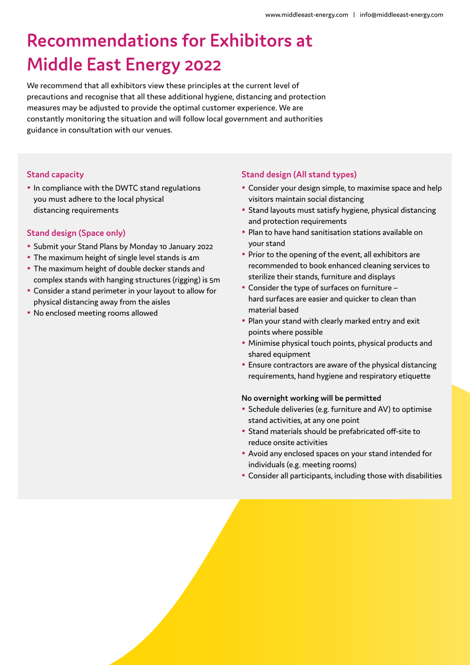## **Recommendations for Exhibitors at Middle East Energy 2022**

We recommend that all exhibitors view these principles at the current level of precautions and recognise that all these additional hygiene, distancing and protection measures may be adjusted to provide the optimal customer experience. We are constantly monitoring the situation and will follow local government and authorities guidance in consultation with our venues.

#### **Stand capacity**

• In compliance with the DWTC stand regulations you must adhere to the local physical distancing requirements

#### **Stand design (Space only)**

- Submit your Stand Plans by Monday 10 January 2022
- The maximum height of single level stands is 4m
- The maximum height of double decker stands and complex stands with hanging structures (rigging) is 5m
- Consider a stand perimeter in your layout to allow for physical distancing away from the aisles
- No enclosed meeting rooms allowed

#### **Stand design (All stand types)**

- Consider your design simple, to maximise space and help visitors maintain social distancing
- Stand layouts must satisfy hygiene, physical distancing and protection requirements
- Plan to have hand sanitisation stations available on vour stand
- Prior to the opening of the event, all exhibitors are recommended to book enhanced cleaning services to sterilize their stands, furniture and displays
- Consider the type of surfaces on furniture  $$ hard surfaces are easier and quicker to clean than material based
- Plan your stand with clearly marked entry and exit points where possible
- Minimise physical touch points, physical products and shared equipment
- Ensure contractors are aware of the physical distancing requirements, hand hygiene and respiratory etiquette

#### **No overnight working will be permitted**

- Schedule deliveries (e.g. furniture and AV) to optimise stand activities, at any one point
- Stand materials should be prefabricated off-site to reduce onsite activities
- Avoid any enclosed spaces on your stand intended for individuals (e.g. meeting rooms)
- Consider all participants, including those with disabilities